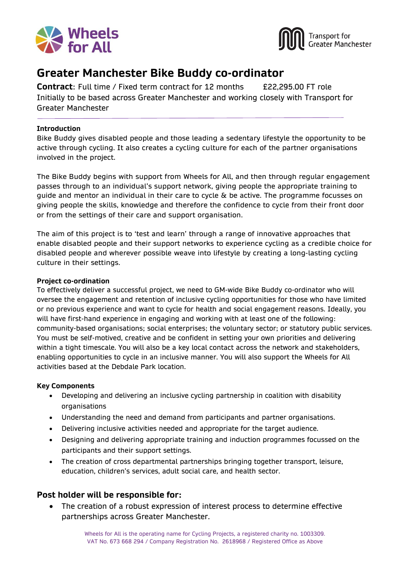



# **Greater Manchester Bike Buddy co-ordinator**

**Contract:** Full time / Fixed term contract for 12 months E22,295.00 FT role Initially to be based across Greater Manchester and working closely with Transport for Greater Manchester

#### **Introduction**

Bike Buddy gives disabled people and those leading a sedentary lifestyle the opportunity to be active through cycling. It also creates a cycling culture for each of the partner organisations involved in the project.

The Bike Buddy begins with support from Wheels for All, and then through regular engagement passes through to an individual's support network, giving people the appropriate training to guide and mentor an individual in their care to cycle  $\&$  be active. The programme focusses on giving people the skills, knowledge and therefore the confidence to cycle from their front door or from the settings of their care and support organisation.

The aim of this project is to 'test and learn' through a range of innovative approaches that enable disabled people and their support networks to experience cycling as a credible choice for disabled people and wherever possible weave into lifestyle by creating a long-lasting cycling culture in their settings.

#### **Project co-ordination**

To effectively deliver a successful project, we need to GM-wide Bike Buddy co-ordinator who will oversee the engagement and retention of inclusive cycling opportunities for those who have limited or no previous experience and want to cycle for health and social engagement reasons. Ideally, you will have first-hand experience in engaging and working with at least one of the following: community-based organisations; social enterprises; the voluntary sector; or statutory public services. You must be self-motived, creative and be confident in setting your own priorities and delivering within a tight timescale. You will also be a key local contact across the network and stakeholders, enabling opportunities to cycle in an inclusive manner. You will also support the Wheels for All activities based at the Debdale Park location.

#### **Key Components**

- Developing and delivering an inclusive cycling partnership in coalition with disability organisations
- Understanding the need and demand from participants and partner organisations.
- Delivering inclusive activities needed and appropriate for the target audience.
- Designing and delivering appropriate training and induction programmes focussed on the participants and their support settings.
- The creation of cross departmental partnerships bringing together transport, leisure, education, children's services, adult social care, and health sector.

#### **Post holder will be responsible for:**

• The creation of a robust expression of interest process to determine effective partnerships across Greater Manchester.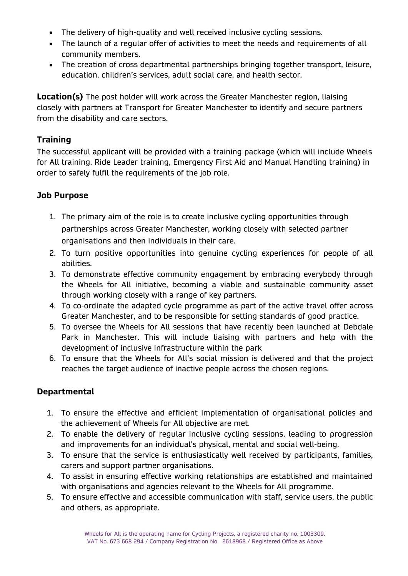- The delivery of high-quality and well received inclusive cycling sessions.
- The launch of a regular offer of activities to meet the needs and requirements of all community members.
- The creation of cross departmental partnerships bringing together transport, leisure, education, children's services, adult social care, and health sector.

**Location(s)** The post holder will work across the Greater Manchester region, liaising closely with partners at Transport for Greater Manchester to identify and secure partners from the disability and care sectors.

## **Training**

The successful applicant will be provided with a training package (which will include Wheels for All training, Ride Leader training, Emergency First Aid and Manual Handling training) in order to safely fulfil the requirements of the job role.

# **Job Purpose**

- 1. The primary aim of the role is to create inclusive cycling opportunities through partnerships across Greater Manchester, working closely with selected partner organisations and then individuals in their care.
- 2. To turn positive opportunities into genuine cycling experiences for people of all abilities.
- 3. To demonstrate effective community engagement by embracing everybody through the Wheels for All initiative, becoming a viable and sustainable community asset through working closely with a range of key partners.
- 4. To co-ordinate the adapted cycle programme as part of the active travel offer across Greater Manchester, and to be responsible for setting standards of good practice.
- 5. To oversee the Wheels for All sessions that have recently been launched at Debdale Park in Manchester. This will include liaising with partners and help with the development of inclusive infrastructure within the park
- 6. To ensure that the Wheels for All's social mission is delivered and that the project reaches the target audience of inactive people across the chosen regions.

### **Departmental**

- 1. To ensure the effective and efficient implementation of organisational policies and the achievement of Wheels for All objective are met.
- 2. To enable the delivery of regular inclusive cycling sessions, leading to progression and improvements for an individual's physical, mental and social well-being.
- 3. To ensure that the service is enthusiastically well received by participants, families, carers and support partner organisations.
- 4. To assist in ensuring effective working relationships are established and maintained with organisations and agencies relevant to the Wheels for All programme.
- 5. To ensure effective and accessible communication with staff, service users, the public and others, as appropriate.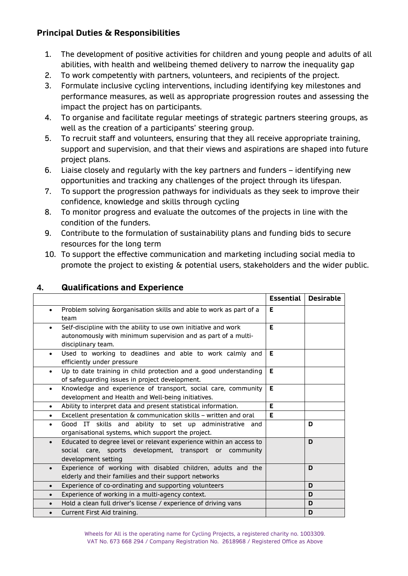# **Principal Duties & Responsibilities**

- 1. The development of positive activities for children and young people and adults of all abilities, with health and wellbeing themed delivery to narrow the inequality gap
- 2. To work competently with partners, volunteers, and recipients of the project.
- 3. Formulate inclusive cycling interventions, including identifying key milestones and performance measures, as well as appropriate progression routes and assessing the impact the project has on participants.
- 4. To organise and facilitate regular meetings of strategic partners steering groups, as well as the creation of a participants' steering group.
- 5. To recruit staff and volunteers, ensuring that they all receive appropriate training, support and supervision, and that their views and aspirations are shaped into future project plans.
- 6. Liaise closely and regularly with the key partners and funders identifying new opportunities and tracking any challenges of the project through its lifespan.
- 7. To support the progression pathways for individuals as they seek to improve their confidence, knowledge and skills through cycling
- 8. To monitor progress and evaluate the outcomes of the projects in line with the condition of the funders.
- 9. Contribute to the formulation of sustainability plans and funding bids to secure resources for the long term
- 10. To support the effective communication and marketing including social media to promote the project to existing & potential users, stakeholders and the wider public.

|           |                                                                                                                                                        | <b>Essential</b> | <b>Desirable</b> |
|-----------|--------------------------------------------------------------------------------------------------------------------------------------------------------|------------------|------------------|
| $\bullet$ | Problem solving & organisation skills and able to work as part of a<br>team                                                                            | E.               |                  |
| $\bullet$ | Self-discipline with the ability to use own initiative and work<br>autonomously with minimum supervision and as part of a multi-<br>disciplinary team. | E.               |                  |
| $\bullet$ | Used to working to deadlines and able to work calmly and<br>efficiently under pressure                                                                 | E                |                  |
| $\bullet$ | Up to date training in child protection and a good understanding<br>of safeguarding issues in project development.                                     | E.               |                  |
| $\bullet$ | Knowledge and experience of transport, social care, community<br>development and Health and Well-being initiatives.                                    | E.               |                  |
| $\bullet$ | Ability to interpret data and present statistical information.                                                                                         | E.               |                  |
| $\bullet$ | Excellent presentation & communication skills - written and oral                                                                                       | E                |                  |
| $\bullet$ | Good IT skills and ability to set up administrative and<br>organisational systems, which support the project.                                          |                  | D                |
| $\bullet$ | Educated to degree level or relevant experience within an access to<br>social care, sports development, transport or community<br>development setting  |                  | D                |
| $\bullet$ | Experience of working with disabled children, adults and the<br>elderly and their families and their support networks                                  |                  | D                |
| $\bullet$ | Experience of co-ordinating and supporting volunteers                                                                                                  |                  | D                |
| $\bullet$ | Experience of working in a multi-agency context.                                                                                                       |                  | D                |
| $\bullet$ | Hold a clean full driver's license / experience of driving vans                                                                                        |                  | D                |
| $\bullet$ | Current First Aid training.                                                                                                                            |                  | D                |

## **4. Qualifications and Experience**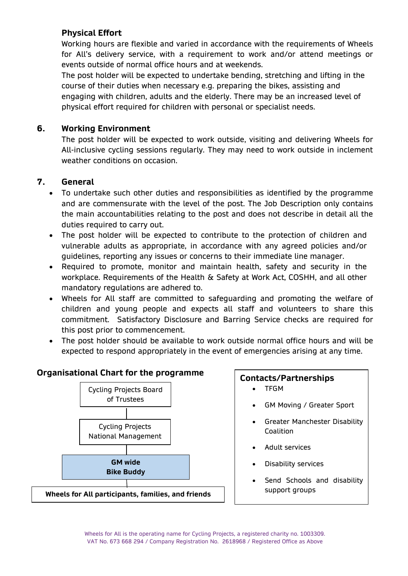## **Physical Effort**

Working hours are flexible and varied in accordance with the requirements of Wheels for All's delivery service, with a requirement to work and/or attend meetings or events outside of normal office hours and at weekends.

The post holder will be expected to undertake bending, stretching and lifting in the course of their duties when necessary e.g. preparing the bikes, assisting and engaging with children, adults and the elderly. There may be an increased level of physical effort required for children with personal or specialist needs.

### **6. Working Environment**

The post holder will be expected to work outside, visiting and delivering Wheels for All-inclusive cycling sessions regularly. They may need to work outside in inclement weather conditions on occasion.

### **7. General**

- To undertake such other duties and responsibilities as identified by the programme and are commensurate with the level of the post. The Job Description only contains the main accountabilities relating to the post and does not describe in detail all the duties required to carry out.
- The post holder will be expected to contribute to the protection of children and vulnerable adults as appropriate, in accordance with any agreed policies and/or guidelines, reporting any issues or concerns to their immediate line manager.
- Required to promote, monitor and maintain health, safety and security in the workplace. Requirements of the Health & Safety at Work Act, COSHH, and all other mandatory regulations are adhered to.
- Wheels for All staff are committed to safeguarding and promoting the welfare of children and young people and expects all staff and volunteers to share this commitment. Satisfactory Disclosure and Barring Service checks are required for this post prior to commencement.
- The post holder should be available to work outside normal office hours and will be expected to respond appropriately in the event of emergencies arising at any time.

#### **Organisational Chart for the programme**



#### **Contacts/Partnerships**

- TFGM
- GM Moving / Greater Sport
- Greater Manchester Disability Coalition
- Adult services
- Disability services
- Send Schools and disability support groups